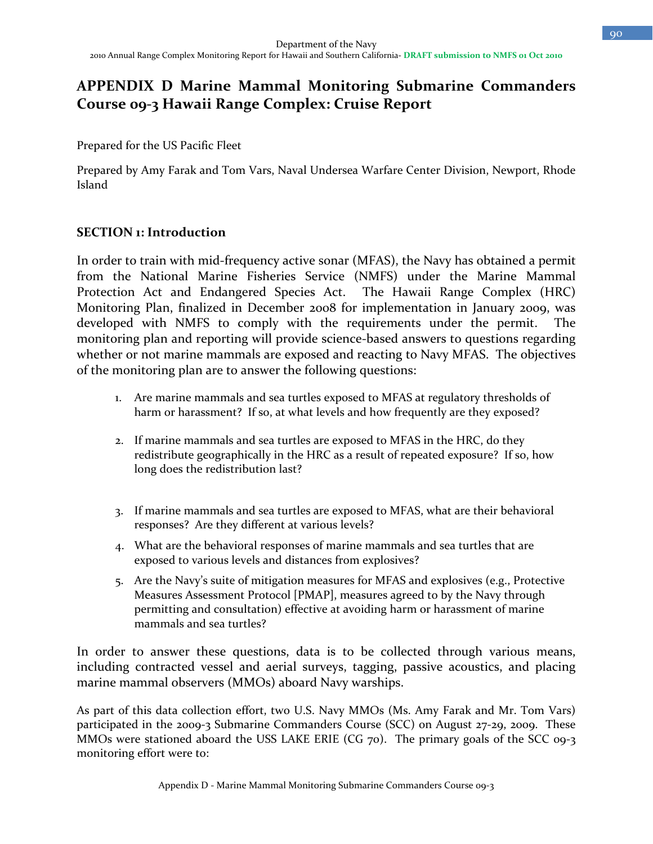# **APPENDIX D Marine Mammal Monitoring Submarine Commanders Course 09-3 Hawaii Range Complex: Cruise Report**

Prepared for the US Pacific Fleet

Prepared by Amy Farak and Tom Vars, Naval Undersea Warfare Center Division, Newport, Rhode Island

#### **SECTION 1: Introduction**

In order to train with mid-frequency active sonar (MFAS), the Navy has obtained a permit from the National Marine Fisheries Service (NMFS) under the Marine Mammal Protection Act and Endangered Species Act. The Hawaii Range Complex (HRC) Monitoring Plan, finalized in December 2008 for implementation in January 2009, was developed with NMFS to comply with the requirements under the permit. The monitoring plan and reporting will provide science-based answers to questions regarding whether or not marine mammals are exposed and reacting to Navy MFAS. The objectives of the monitoring plan are to answer the following questions:

- 1. Are marine mammals and sea turtles exposed to MFAS at regulatory thresholds of harm or harassment? If so, at what levels and how frequently are they exposed?
- 2. If marine mammals and sea turtles are exposed to MFAS in the HRC, do they redistribute geographically in the HRC as a result of repeated exposure? If so, how long does the redistribution last?
- 3. If marine mammals and sea turtles are exposed to MFAS, what are their behavioral responses? Are they different at various levels?
- 4. What are the behavioral responses of marine mammals and sea turtles that are exposed to various levels and distances from explosives?
- 5. Are the Navy's suite of mitigation measures for MFAS and explosives (e.g., Protective Measures Assessment Protocol [PMAP], measures agreed to by the Navy through permitting and consultation) effective at avoiding harm or harassment of marine mammals and sea turtles?

In order to answer these questions, data is to be collected through various means, including contracted vessel and aerial surveys, tagging, passive acoustics, and placing marine mammal observers (MMOs) aboard Navy warships.

As part of this data collection effort, two U.S. Navy MMOs (Ms. Amy Farak and Mr. Tom Vars) participated in the 2009-3 Submarine Commanders Course (SCC) on August 27-29, 2009. These MMOs were stationed aboard the USS LAKE ERIE (CG 70). The primary goals of the SCC 09-3 monitoring effort were to: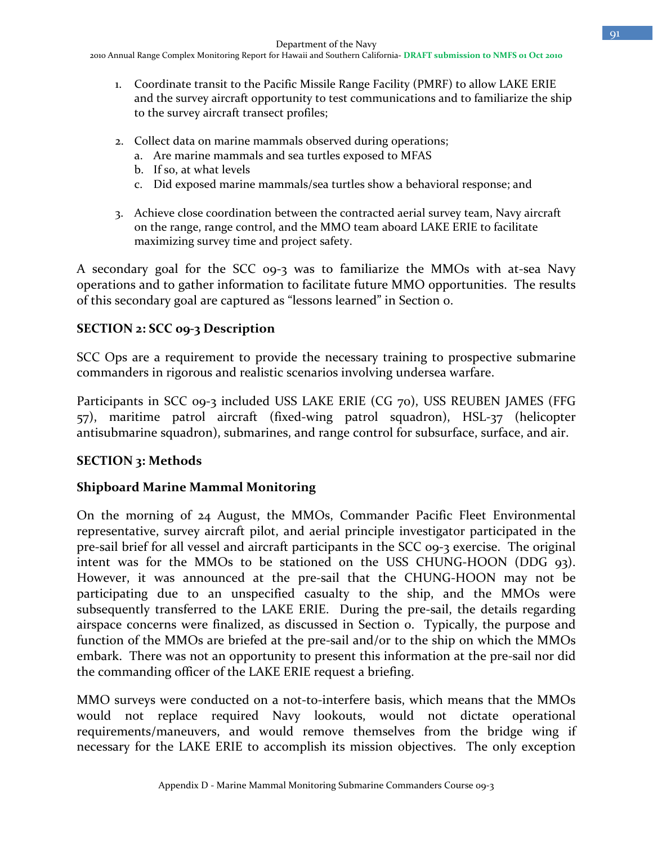2010 Annual Range Complex Monitoring Report for Hawaii and Southern California**- DRAFT submission to NMFS 01 Oct 2010**

- 1. Coordinate transit to the Pacific Missile Range Facility (PMRF) to allow LAKE ERIE and the survey aircraft opportunity to test communications and to familiarize the ship to the survey aircraft transect profiles;
- 2. Collect data on marine mammals observed during operations;
	- a. Are marine mammals and sea turtles exposed to MFAS
	- b. If so, at what levels
	- c. Did exposed marine mammals/sea turtles show a behavioral response; and
- 3. Achieve close coordination between the contracted aerial survey team, Navy aircraft on the range, range control, and the MMO team aboard LAKE ERIE to facilitate maximizing survey time and project safety.

A secondary goal for the SCC 09-3 was to familiarize the MMOs with at-sea Navy operations and to gather information to facilitate future MMO opportunities. The results of this secondary goal are captured as "lessons learned" in Section 0.

#### **SECTION 2: SCC 09-3 Description**

SCC Ops are a requirement to provide the necessary training to prospective submarine commanders in rigorous and realistic scenarios involving undersea warfare.

Participants in SCC 09-3 included USS LAKE ERIE (CG 70), USS REUBEN JAMES (FFG 57), maritime patrol aircraft (fixed-wing patrol squadron), HSL-37 (helicopter antisubmarine squadron), submarines, and range control for subsurface, surface, and air.

#### **SECTION 3: Methods**

#### **Shipboard Marine Mammal Monitoring**

On the morning of 24 August, the MMOs, Commander Pacific Fleet Environmental representative, survey aircraft pilot, and aerial principle investigator participated in the pre-sail brief for all vessel and aircraft participants in the SCC 09-3 exercise. The original intent was for the MMOs to be stationed on the USS CHUNG-HOON (DDG 93). However, it was announced at the pre-sail that the CHUNG-HOON may not be participating due to an unspecified casualty to the ship, and the MMOs were subsequently transferred to the LAKE ERIE. During the pre-sail, the details regarding airspace concerns were finalized, as discussed in Section 0. Typically, the purpose and function of the MMOs are briefed at the pre-sail and/or to the ship on which the MMOs embark. There was not an opportunity to present this information at the pre-sail nor did the commanding officer of the LAKE ERIE request a briefing.

MMO surveys were conducted on a not-to-interfere basis, which means that the MMOs would not replace required Navy lookouts, would not dictate operational requirements/maneuvers, and would remove themselves from the bridge wing if necessary for the LAKE ERIE to accomplish its mission objectives. The only exception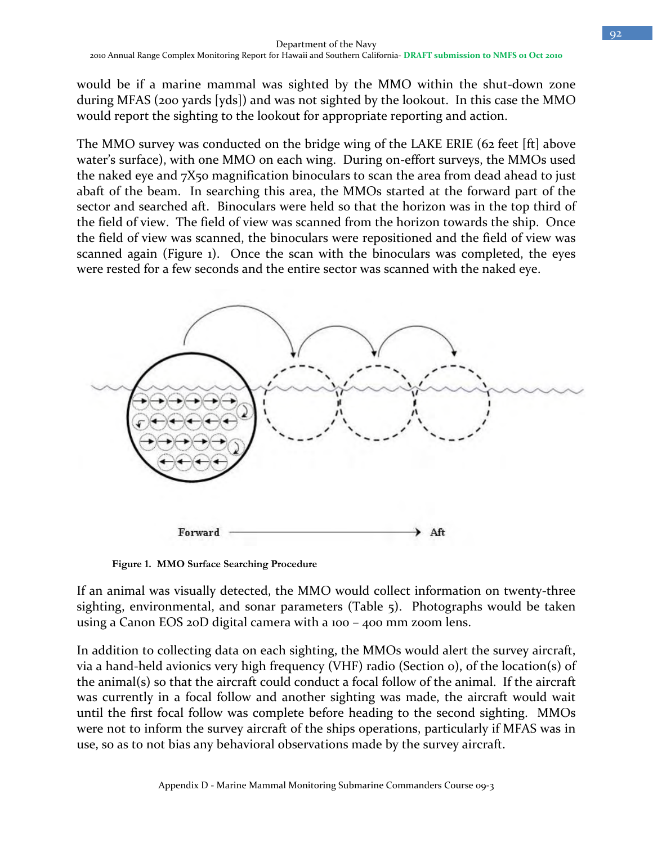would be if a marine mammal was sighted by the MMO within the shut-down zone during MFAS (200 yards [yds]) and was not sighted by the lookout. In this case the MMO would report the sighting to the lookout for appropriate reporting and action.

The MMO survey was conducted on the bridge wing of the LAKE ERIE (62 feet [ft] above water's surface), with one MMO on each wing. During on-effort surveys, the MMOs used the naked eye and 7X50 magnification binoculars to scan the area from dead ahead to just abaft of the beam. In searching this area, the MMOs started at the forward part of the sector and searched aft. Binoculars were held so that the horizon was in the top third of the field of view. The field of view was scanned from the horizon towards the ship. Once the field of view was scanned, the binoculars were repositioned and the field of view was scanned again (Figure 1). Once the scan with the binoculars was completed, the eyes were rested for a few seconds and the entire sector was scanned with the naked eye.



**Figure 1. MMO Surface Searching Procedure** 

If an animal was visually detected, the MMO would collect information on twenty-three sighting, environmental, and sonar parameters (Table 5). Photographs would be taken using a Canon EOS 20D digital camera with a 100 – 400 mm zoom lens.

In addition to collecting data on each sighting, the MMOs would alert the survey aircraft, via a hand-held avionics very high frequency (VHF) radio (Section 0), of the location(s) of the animal(s) so that the aircraft could conduct a focal follow of the animal. If the aircraft was currently in a focal follow and another sighting was made, the aircraft would wait until the first focal follow was complete before heading to the second sighting. MMOs were not to inform the survey aircraft of the ships operations, particularly if MFAS was in use, so as to not bias any behavioral observations made by the survey aircraft.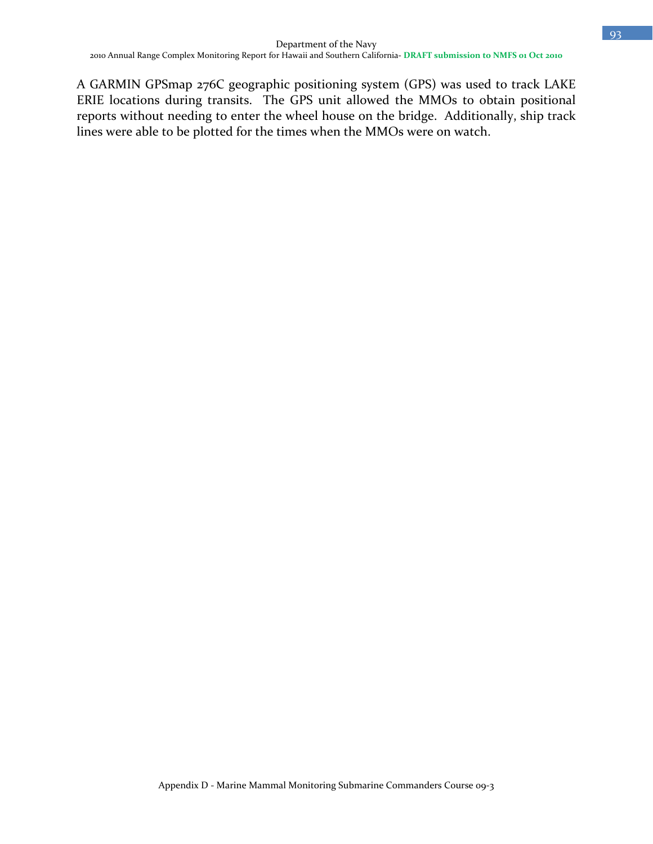A GARMIN GPSmap 276C geographic positioning system (GPS) was used to track LAKE ERIE locations during transits. The GPS unit allowed the MMOs to obtain positional reports without needing to enter the wheel house on the bridge. Additionally, ship track lines were able to be plotted for the times when the MMOs were on watch.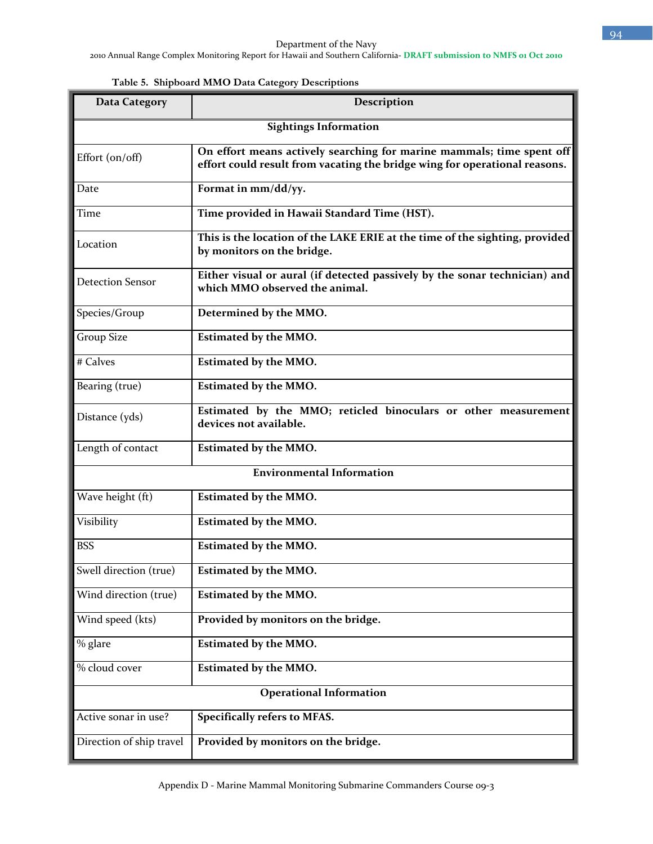| <b>Data Category</b>         | Description                                                                                                                                         |  |  |  |  |
|------------------------------|-----------------------------------------------------------------------------------------------------------------------------------------------------|--|--|--|--|
| <b>Sightings Information</b> |                                                                                                                                                     |  |  |  |  |
| Effort (on/off)              | On effort means actively searching for marine mammals; time spent off<br>effort could result from vacating the bridge wing for operational reasons. |  |  |  |  |
| Date                         | Format in mm/dd/yy.                                                                                                                                 |  |  |  |  |
| Time                         | Time provided in Hawaii Standard Time (HST).                                                                                                        |  |  |  |  |
| Location                     | This is the location of the LAKE ERIE at the time of the sighting, provided<br>by monitors on the bridge.                                           |  |  |  |  |
| <b>Detection Sensor</b>      | Either visual or aural (if detected passively by the sonar technician) and<br>which MMO observed the animal.                                        |  |  |  |  |
| Species/Group                | Determined by the MMO.                                                                                                                              |  |  |  |  |
| <b>Group Size</b>            | <b>Estimated by the MMO.</b>                                                                                                                        |  |  |  |  |
| # Calves                     | <b>Estimated by the MMO.</b>                                                                                                                        |  |  |  |  |
| Bearing (true)               | <b>Estimated by the MMO.</b>                                                                                                                        |  |  |  |  |
| Distance (yds)               | Estimated by the MMO; reticled binoculars or other measurement<br>devices not available.                                                            |  |  |  |  |
| Length of contact            | <b>Estimated by the MMO.</b>                                                                                                                        |  |  |  |  |
|                              | <b>Environmental Information</b>                                                                                                                    |  |  |  |  |
| Wave height (ft)             | <b>Estimated by the MMO.</b>                                                                                                                        |  |  |  |  |
| Visibility                   | <b>Estimated by the MMO.</b>                                                                                                                        |  |  |  |  |
| <b>BSS</b>                   | <b>Estimated by the MMO.</b>                                                                                                                        |  |  |  |  |
| Swell direction (true)       | <b>Estimated by the MMO.</b>                                                                                                                        |  |  |  |  |
| Wind direction (true)        | <b>Estimated by the MMO.</b>                                                                                                                        |  |  |  |  |
| Wind speed (kts)             | Provided by monitors on the bridge.                                                                                                                 |  |  |  |  |
| % glare                      | <b>Estimated by the MMO.</b>                                                                                                                        |  |  |  |  |
| % cloud cover                | <b>Estimated by the MMO.</b>                                                                                                                        |  |  |  |  |
|                              | <b>Operational Information</b>                                                                                                                      |  |  |  |  |
| Active sonar in use?         | Specifically refers to MFAS.                                                                                                                        |  |  |  |  |
| Direction of ship travel     | Provided by monitors on the bridge.                                                                                                                 |  |  |  |  |

**Table 5. Shipboard MMO Data Category Descriptions**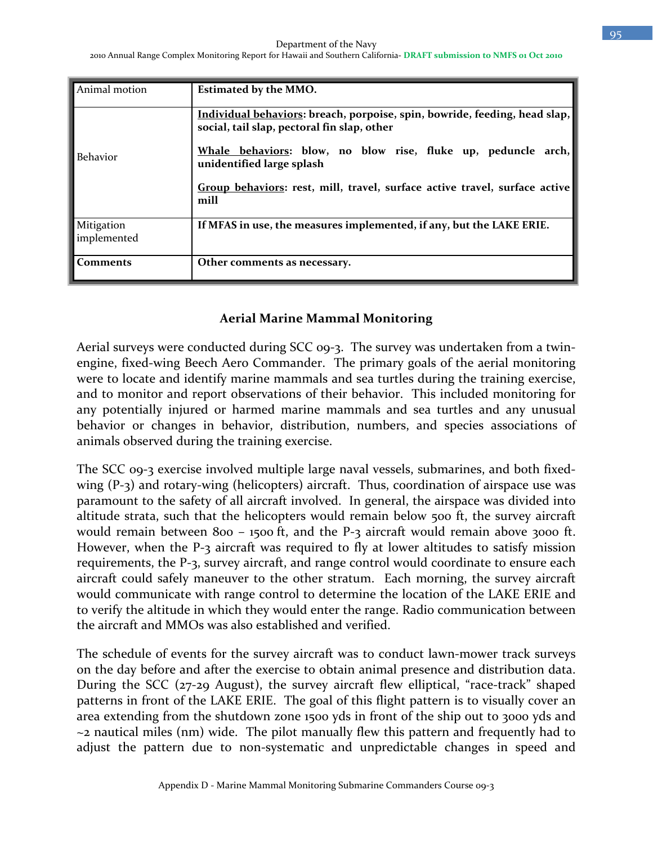| Animal motion             | <b>Estimated by the MMO.</b>                                                                                              |
|---------------------------|---------------------------------------------------------------------------------------------------------------------------|
|                           | Individual behaviors: breach, porpoise, spin, bowride, feeding, head slap,<br>social, tail slap, pectoral fin slap, other |
| <b>Behavior</b>           | Whale behaviors: blow, no blow rise, fluke up, peduncle arch,<br>unidentified large splash                                |
|                           | Group behaviors: rest, mill, travel, surface active travel, surface active<br>mill                                        |
| Mitigation<br>implemented | If MFAS in use, the measures implemented, if any, but the LAKE ERIE.                                                      |
| <b>Comments</b>           | Other comments as necessary.                                                                                              |

#### **Aerial Marine Mammal Monitoring**

Aerial surveys were conducted during SCC 09-3. The survey was undertaken from a twinengine, fixed-wing Beech Aero Commander. The primary goals of the aerial monitoring were to locate and identify marine mammals and sea turtles during the training exercise, and to monitor and report observations of their behavior. This included monitoring for any potentially injured or harmed marine mammals and sea turtles and any unusual behavior or changes in behavior, distribution, numbers, and species associations of animals observed during the training exercise.

The SCC 09-3 exercise involved multiple large naval vessels, submarines, and both fixedwing (P-3) and rotary-wing (helicopters) aircraft. Thus, coordination of airspace use was paramount to the safety of all aircraft involved. In general, the airspace was divided into altitude strata, such that the helicopters would remain below 500 ft, the survey aircraft would remain between 800 - 1500 ft, and the P-3 aircraft would remain above 3000 ft. However, when the P-3 aircraft was required to fly at lower altitudes to satisfy mission requirements, the P-3, survey aircraft, and range control would coordinate to ensure each aircraft could safely maneuver to the other stratum. Each morning, the survey aircraft would communicate with range control to determine the location of the LAKE ERIE and to verify the altitude in which they would enter the range. Radio communication between the aircraft and MMOs was also established and verified.

The schedule of events for the survey aircraft was to conduct lawn-mower track surveys on the day before and after the exercise to obtain animal presence and distribution data. During the SCC (27-29 August), the survey aircraft flew elliptical, "race-track" shaped patterns in front of the LAKE ERIE. The goal of this flight pattern is to visually cover an area extending from the shutdown zone 1500 yds in front of the ship out to 3000 yds and ~2 nautical miles (nm) wide. The pilot manually flew this pattern and frequently had to adjust the pattern due to non-systematic and unpredictable changes in speed and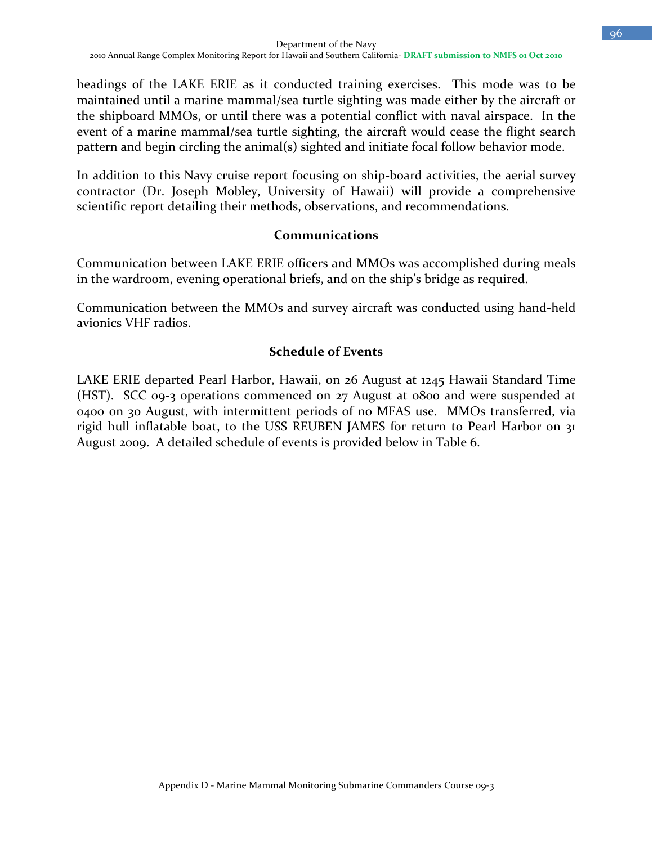headings of the LAKE ERIE as it conducted training exercises. This mode was to be maintained until a marine mammal/sea turtle sighting was made either by the aircraft or the shipboard MMOs, or until there was a potential conflict with naval airspace. In the event of a marine mammal/sea turtle sighting, the aircraft would cease the flight search pattern and begin circling the animal(s) sighted and initiate focal follow behavior mode.

In addition to this Navy cruise report focusing on ship-board activities, the aerial survey contractor (Dr. Joseph Mobley, University of Hawaii) will provide a comprehensive scientific report detailing their methods, observations, and recommendations.

#### **Communications**

Communication between LAKE ERIE officers and MMOs was accomplished during meals in the wardroom, evening operational briefs, and on the ship's bridge as required.

Communication between the MMOs and survey aircraft was conducted using hand-held avionics VHF radios.

#### **Schedule of Events**

LAKE ERIE departed Pearl Harbor, Hawaii, on 26 August at 1245 Hawaii Standard Time (HST). SCC 09-3 operations commenced on 27 August at 0800 and were suspended at 0400 on 30 August, with intermittent periods of no MFAS use. MMOs transferred, via rigid hull inflatable boat, to the USS REUBEN JAMES for return to Pearl Harbor on 31 August 2009. A detailed schedule of events is provided below in Table 6.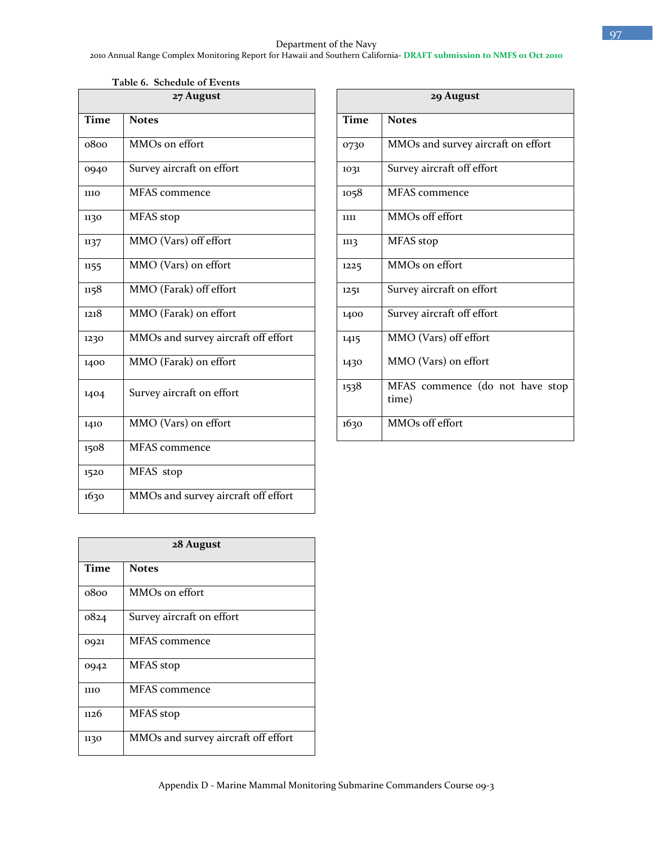#### Department of the Navy 2010 Annual Range Complex Monitoring Report for Hawaii and Southern California**- DRAFT submission to NMFS 01 Oct 2010**

**Table 6. Schedule of Events** 

| 27 August   |                                     |             | 29 August                                |  |  |
|-------------|-------------------------------------|-------------|------------------------------------------|--|--|
| <b>Time</b> | <b>Notes</b>                        | <b>Time</b> | <b>Notes</b>                             |  |  |
| 0800        | MMOs on effort                      | 0730        | MMOs and survey aircraft on effort       |  |  |
| 0940        | Survey aircraft on effort           | 1031        | Survey aircraft off effort               |  |  |
| <b>1110</b> | MFAS commence                       | 1058        | <b>MFAS</b> commence                     |  |  |
| 1130        | MFAS stop                           | 1111        | MMOs off effort                          |  |  |
| 1137        | MMO (Vars) off effort               | 1113        | MFAS stop                                |  |  |
| 1155        | MMO (Vars) on effort                | 1225        | MMOs on effort                           |  |  |
| 1158        | MMO (Farak) off effort              | 1251        | Survey aircraft on effort                |  |  |
| 1218        | MMO (Farak) on effort               | 1400        | Survey aircraft off effort               |  |  |
| 1230        | MMOs and survey aircraft off effort | 1415        | MMO (Vars) off effort                    |  |  |
| 1400        | MMO (Farak) on effort               | 1430        | MMO (Vars) on effort                     |  |  |
| 1404        | Survey aircraft on effort           | 1538        | MFAS commence (do not have stop<br>time) |  |  |
| 1410        | MMO (Vars) on effort                | 1630        | MMOs off effort                          |  |  |
| 1508        | MFAS commence                       |             |                                          |  |  |
| 1520        | MFAS stop                           |             |                                          |  |  |
| 1630        | MMOs and survey aircraft off effort |             |                                          |  |  |

| 28 August |                                     |  |  |
|-----------|-------------------------------------|--|--|
| Time      | <b>Notes</b>                        |  |  |
| 0800      | MMOs on effort                      |  |  |
| 0824      | Survey aircraft on effort           |  |  |
| 0921      | <b>MFAS</b> commence                |  |  |
| 0942      | MFAS stop                           |  |  |
| 1110      | <b>MFAS</b> commence                |  |  |
| 1126      | MFAS stop                           |  |  |
| 1130      | MMOs and survey aircraft off effort |  |  |

| 29 August   |                                          |  |  |  |
|-------------|------------------------------------------|--|--|--|
| <b>Time</b> | <b>Notes</b>                             |  |  |  |
| 0730        | MMOs and survey aircraft on effort       |  |  |  |
| 1031        | Survey aircraft off effort               |  |  |  |
| 1058        | <b>MFAS</b> commence                     |  |  |  |
| 1111        | MMOs off effort                          |  |  |  |
| 1113        | MFAS stop                                |  |  |  |
| 1225        | MMOs on effort                           |  |  |  |
| 1251        | Survey aircraft on effort                |  |  |  |
| 1400        | Survey aircraft off effort               |  |  |  |
| 1415        | MMO (Vars) off effort                    |  |  |  |
| 1430        | MMO (Vars) on effort                     |  |  |  |
| 1538        | MFAS commence (do not have stop<br>time) |  |  |  |
|             |                                          |  |  |  |
| 1630        | MMOs off effort                          |  |  |  |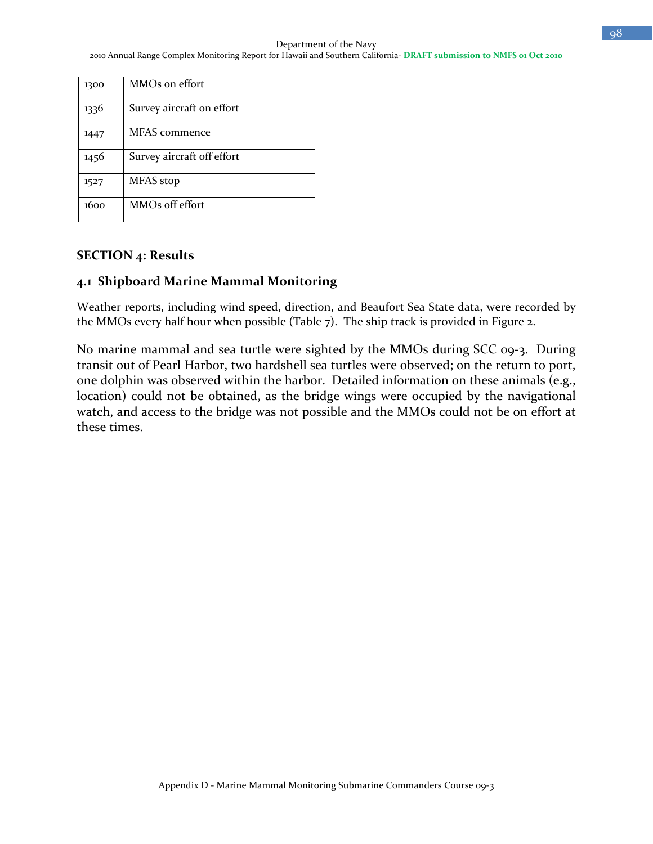| 1300 | MMOs on effort             |
|------|----------------------------|
| 1336 | Survey aircraft on effort  |
| 1447 | MFAS commence              |
| 1456 | Survey aircraft off effort |
| 1527 | MFAS stop                  |
| 1600 | MMOs off effort            |

## **SECTION 4: Results**

## **4.1 Shipboard Marine Mammal Monitoring**

Weather reports, including wind speed, direction, and Beaufort Sea State data, were recorded by the MMOs every half hour when possible (Table 7). The ship track is provided in Figure 2.

No marine mammal and sea turtle were sighted by the MMOs during SCC 09-3. During transit out of Pearl Harbor, two hardshell sea turtles were observed; on the return to port, one dolphin was observed within the harbor. Detailed information on these animals (e.g., location) could not be obtained, as the bridge wings were occupied by the navigational watch, and access to the bridge was not possible and the MMOs could not be on effort at these times.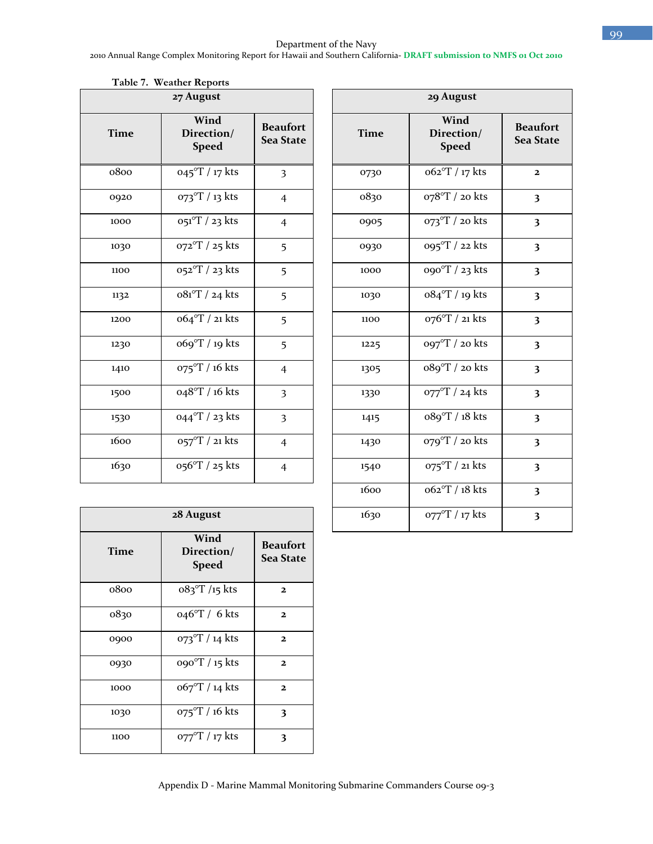#### Department of the Navy

2010 Annual Range Complex Monitoring Report for Hawaii and Southern California**- DRAFT submission to NMFS 01 Oct 2010**

| 27 August |                                    |                                     |  |  |
|-----------|------------------------------------|-------------------------------------|--|--|
| Time      | Wind<br>Direction/<br><b>Speed</b> | <b>Beaufort</b><br><b>Sea State</b> |  |  |
| 0800      | 045°T / 17 kts                     | 3                                   |  |  |
| 0920      | 073°T / 13 kts                     | $\overline{4}$                      |  |  |
| 1000      | $051^{\circ}$ T / 23 kts           | $\overline{4}$                      |  |  |
| 1030      | 072°T / 25 kts                     | 5                                   |  |  |
| 1100      | 052°T / 23 kts                     | 5                                   |  |  |
| 1132      | $081^{\circ}$ T / 24 kts           | 5                                   |  |  |
| 1200      | 064°T / 21 kts                     | 5                                   |  |  |
| 1230      | 069°T / 19 kts                     | 5                                   |  |  |
| 1410      | 075°T / 16 kts                     | $\overline{4}$                      |  |  |
| 1500      | 048°T / 16 kts                     | 3                                   |  |  |
| 1530      | 044°T / 23 kts                     | 3                                   |  |  |
| 1600      | 057°T / 21 kts                     | $\overline{4}$                      |  |  |
| 1630      | 056°T / 25 kts                     | $\overline{4}$                      |  |  |

|  | Table 7. Weather Reports |  |
|--|--------------------------|--|
|--|--------------------------|--|

| 27 August |                                    |                                     | 29 August   |                                    |                                     |
|-----------|------------------------------------|-------------------------------------|-------------|------------------------------------|-------------------------------------|
| Time      | Wind<br>Direction/<br><b>Speed</b> | <b>Beaufort</b><br><b>Sea State</b> | <b>Time</b> | Wind<br>Direction/<br><b>Speed</b> | <b>Beaufort</b><br><b>Sea State</b> |
| 0800      | $045^{\circ}$ T / 17 kts           | $\overline{\mathbf{3}}$             | 0730        | o62°T / 17 kts                     | $\mathbf{2}$                        |
| 0920      | 073°T / 13 kts                     | $\overline{4}$                      | 0830        | 078°T / 20 kts                     | $\overline{\mathbf{3}}$             |
| 1000      | $051^{\circ}T / 23$ kts            | $\overline{4}$                      | 0905        | $073^{\circ}$ T / 20 kts           | $\overline{\mathbf{3}}$             |
| 1030      | 072°T / 25 kts                     | 5                                   | 0930        | 095°T / 22 kts                     | $\overline{\mathbf{3}}$             |
| 1100      | 052°T / 23 kts                     | 5                                   | 1000        | 090°T / 23 kts                     | $\overline{\mathbf{3}}$             |
| 1132      | o81°T / 24 kts                     | 5                                   | 1030        | 084°T / 19 kts                     | $\overline{\mathbf{3}}$             |
| 1200      | 064°T / 21 kts                     | 5                                   | 1100        | 076°T / 21 kts                     | $\overline{\mathbf{3}}$             |
| 1230      | 069°T / 19 kts                     | 5                                   | 1225        | 097°T / 20 kts                     | $\overline{\mathbf{3}}$             |
| 1410      | 075°T / 16 kts                     | $\overline{4}$                      | 1305        | 089°T / 20 kts                     | $\overline{\mathbf{3}}$             |
| 1500      | 048°T / 16 kts                     | 3                                   | 1330        | 077°T / 24 kts                     | $\overline{\mathbf{3}}$             |
| 1530      | 044°T / 23 kts                     | $\overline{\mathbf{3}}$             | 1415        | o89°T / 18 kts                     | $\overline{\mathbf{3}}$             |
| 1600      | 057°T / 21 kts                     | $\overline{4}$                      | 1430        | 079°T / 20 kts                     | $\overline{\mathbf{3}}$             |
| 1630      | 056°T / 25 kts                     | $\overline{4}$                      | 1540        | 075°T / 21 kts                     | $\overline{\mathbf{3}}$             |
|           |                                    |                                     | 1600        | o62°T / 18 kts                     | $\overline{\mathbf{3}}$             |
|           | 28 August                          |                                     | 1630        | 077°T / 17 kts                     | $\overline{\mathbf{3}}$             |
|           |                                    |                                     |             |                                    |                                     |

| 28 August   |                                    |                              |  |  |
|-------------|------------------------------------|------------------------------|--|--|
| <b>Time</b> | Wind<br>Direction/<br><b>Speed</b> | <b>Beaufort</b><br>Sea State |  |  |
| 0800        | $083^{\circ}T/15$ kts              | 2                            |  |  |
| 0830        | $046^{\circ}$ T / 6 kts            | $\mathbf{z}$                 |  |  |
| 0900        | $073^{\circ}$ T / 14 kts           | $\mathbf{z}$                 |  |  |
| 0930        | 090°T / 15 kts                     | $\mathbf{z}$                 |  |  |
| 1000        | o67°T / 14 kts                     | $\mathbf{z}$                 |  |  |
| 1030        | $O75^{\circ}T / 16$ kts            | 3                            |  |  |
| 1100        | $O77^{\circ}$ T / 17 kts           | 3                            |  |  |

Appendix D - Marine Mammal Monitoring Submarine Commanders Course 09-3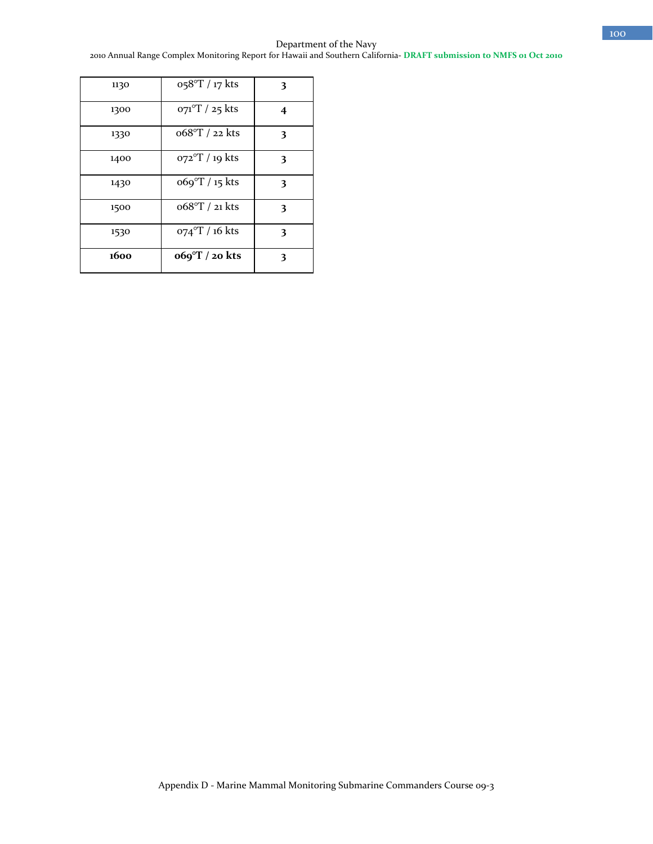Department of the Navy 2010 Annual Range Complex Monitoring Report for Hawaii and Southern California**- DRAFT submission to NMFS 01 Oct 2010**

| 1130 | 058°T / 17 kts           | 3 |
|------|--------------------------|---|
| 1300 | $O71^{\circ}T / 25$ kts  | 4 |
| 1330 | 068°T / 22 kts           | 3 |
| 1400 | $O72^{\circ}T / 19$ kts  | 3 |
| 1430 | $669^{\circ}$ T / 15 kts | 3 |
| 1500 | 068°T / 21 kts           | 3 |
| 1530 | $074^{\circ}$ T / 16 kts | 3 |
| 1600 | $669^{\circ}$ T / 20 kts | 3 |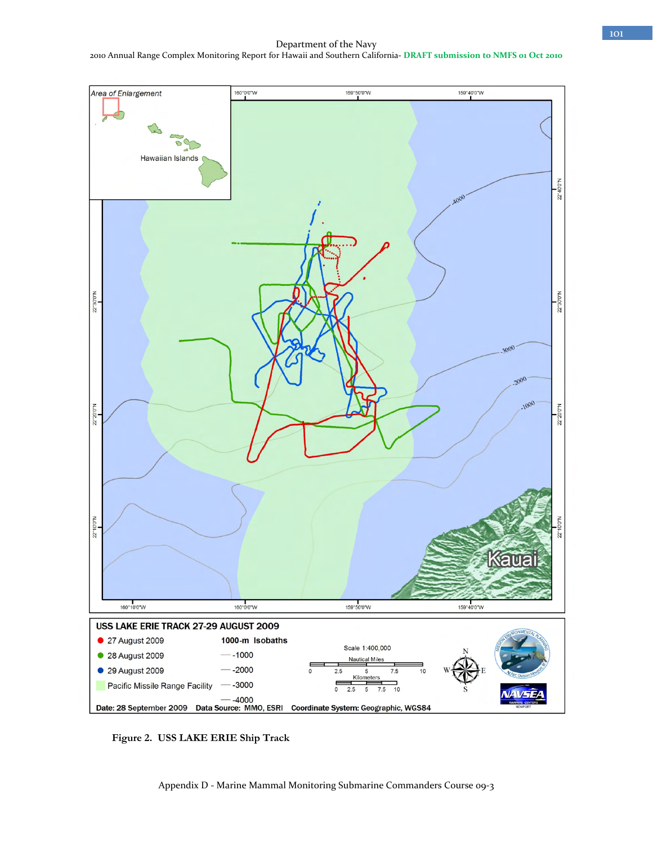Department of the Navy 2010 Annual Range Complex Monitoring Report for Hawaii and Southern California**- DRAFT submission to NMFS 01 Oct 2010**



**Figure 2. USS LAKE ERIE Ship Track**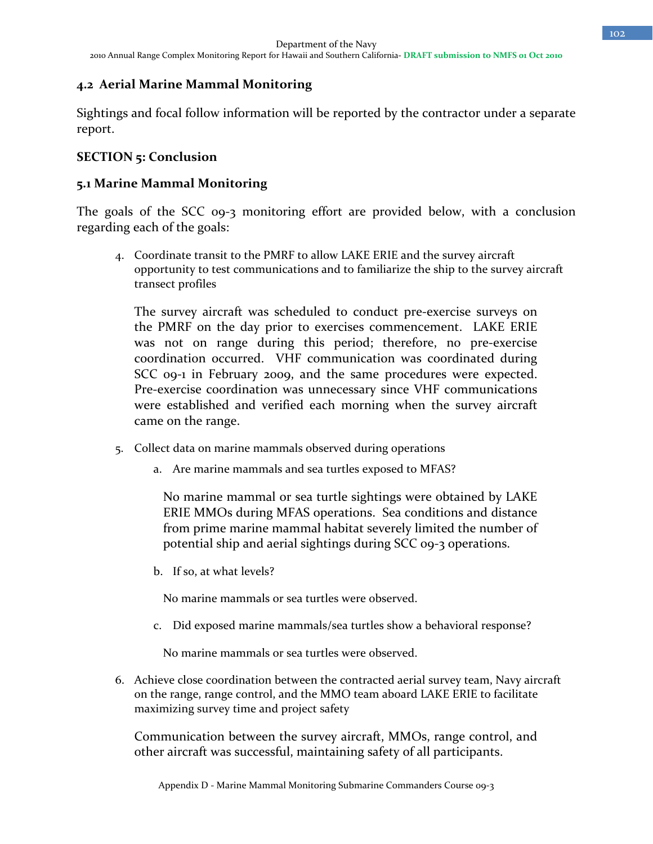# **4.2 Aerial Marine Mammal Monitoring**

Sightings and focal follow information will be reported by the contractor under a separate report.

### **SECTION 5: Conclusion**

#### **5.1 Marine Mammal Monitoring**

The goals of the SCC 09-3 monitoring effort are provided below, with a conclusion regarding each of the goals:

4. Coordinate transit to the PMRF to allow LAKE ERIE and the survey aircraft opportunity to test communications and to familiarize the ship to the survey aircraft transect profiles

The survey aircraft was scheduled to conduct pre-exercise surveys on the PMRF on the day prior to exercises commencement. LAKE ERIE was not on range during this period; therefore, no pre-exercise coordination occurred. VHF communication was coordinated during SCC 09-1 in February 2009, and the same procedures were expected. Pre-exercise coordination was unnecessary since VHF communications were established and verified each morning when the survey aircraft came on the range.

- 5. Collect data on marine mammals observed during operations
	- a. Are marine mammals and sea turtles exposed to MFAS?

No marine mammal or sea turtle sightings were obtained by LAKE ERIE MMOs during MFAS operations. Sea conditions and distance from prime marine mammal habitat severely limited the number of potential ship and aerial sightings during SCC 09-3 operations.

b. If so, at what levels?

No marine mammals or sea turtles were observed.

c. Did exposed marine mammals/sea turtles show a behavioral response?

No marine mammals or sea turtles were observed.

6. Achieve close coordination between the contracted aerial survey team, Navy aircraft on the range, range control, and the MMO team aboard LAKE ERIE to facilitate maximizing survey time and project safety

Communication between the survey aircraft, MMOs, range control, and other aircraft was successful, maintaining safety of all participants.